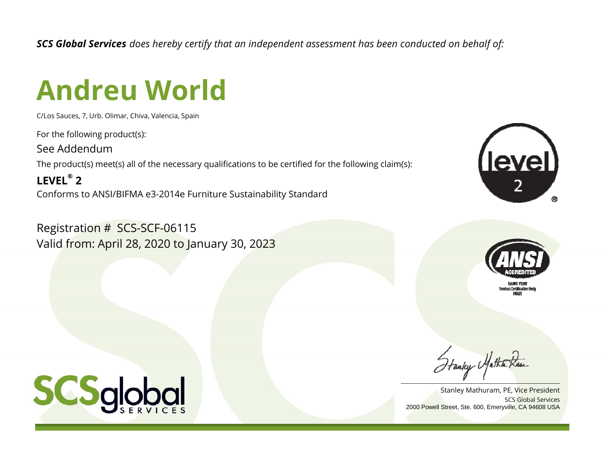*SCS Global Services does hereby certify that an independent assessment has been conducted on behalf of:*

## **Andreu World**

C/Los Sauces, 7, Urb. Olimar, Chiva, Valencia, Spain

For the following product(s):

See Addendum

The product(s) meet(s) all of the necessary qualifications to be certified for the following claim(s):

**LEVEL® 2**Conforms to ANSI/BIFMA e3-2014e Furniture Sustainability Standard

Registration # SCS-SCF-06115 Valid from: April 28, 2020 to January 30, 2023





SCS Global ServicesStanley Mathuram, PE, Vice President 2000 Powell Street, Ste. 600, Emeryville, CA 94608 USA